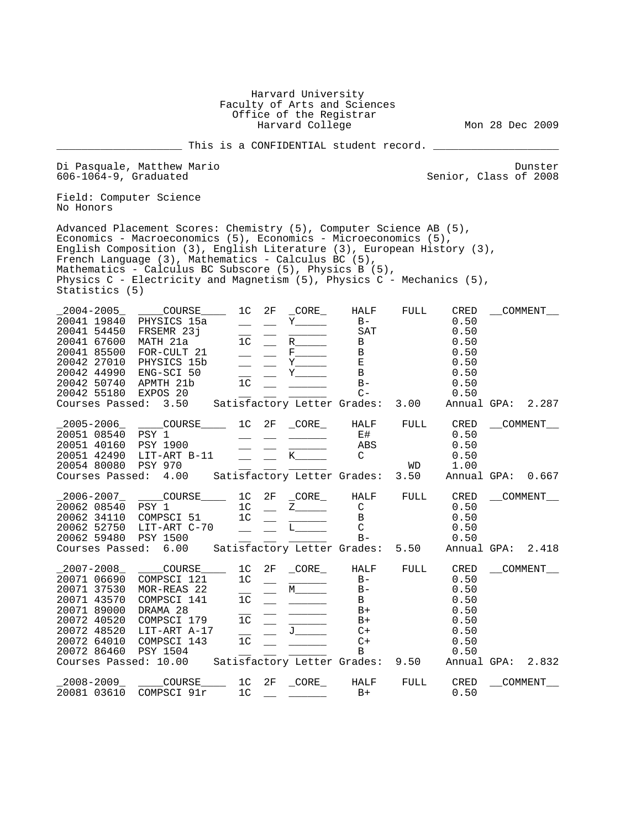|                                                                                                                                                            |                                                                                                                                                                                                                                                                                                                                                                                                           | Faculty of Arts and Sciences<br>Office of the Registrar                                                                     | Harvard University<br>Harvard College                              |                                                                            |                            |                                                                                     | Mon 28 Dec 2009           |
|------------------------------------------------------------------------------------------------------------------------------------------------------------|-----------------------------------------------------------------------------------------------------------------------------------------------------------------------------------------------------------------------------------------------------------------------------------------------------------------------------------------------------------------------------------------------------------|-----------------------------------------------------------------------------------------------------------------------------|--------------------------------------------------------------------|----------------------------------------------------------------------------|----------------------------|-------------------------------------------------------------------------------------|---------------------------|
|                                                                                                                                                            |                                                                                                                                                                                                                                                                                                                                                                                                           | This is a CONFIDENTIAL student record.                                                                                      |                                                                    |                                                                            |                            |                                                                                     |                           |
| $606 - 1064 - 9$ , Graduated                                                                                                                               | Di Pasquale, Matthew Mario                                                                                                                                                                                                                                                                                                                                                                                |                                                                                                                             |                                                                    |                                                                            |                            | Senior, Class of 2008                                                               | Dunster                   |
| No Honors                                                                                                                                                  | Field: Computer Science                                                                                                                                                                                                                                                                                                                                                                                   |                                                                                                                             |                                                                    |                                                                            |                            |                                                                                     |                           |
| Statistics (5)                                                                                                                                             | Advanced Placement Scores: Chemistry (5), Computer Science AB (5),<br>Economics - Macroeconomics (5), Economics - Microeconomics (5),<br>English Composition (3), English Literature (3), European History (3),<br>French Language (3), Mathematics - Calculus BC (5),<br>Mathematics - Calculus BC Subscore (5), Physics B (5),<br>Physics C - Electricity and Magnetism (5), Physics C - Mechanics (5), |                                                                                                                             |                                                                    |                                                                            |                            |                                                                                     |                           |
| $-2004 - 2005$<br>20041 67600 MATH 21a                                                                                                                     | COURSE<br>20041 19840 PHYSICS 15a<br>20041 54450 FRSEMR 23j<br>20041 85500 FOR-CULT 21<br>20042 27010 PHYSICS 15b<br>20042 44990 ENG-SCI 50<br>20042 50740 APMTH 21b<br>20042 55180 EXPOS 20                                                                                                                                                                                                              | 1 <sup>C</sup><br>2F<br>1 <sup>c</sup><br>1 <sup>C</sup>                                                                    | CORE<br>$\mathbf Y$<br>R<br>$Y$ <sub>__________</sub><br>Y         | HALF<br>$B -$<br>SAT<br>B<br>$\mathbf{B}$<br>E<br>B<br>$B -$<br>$C -$      | FULL                       | CRED<br>0.50<br>0.50<br>0.50<br>0.50<br>0.50<br>0.50<br>0.50<br>0.50                | COMMENT                   |
| $\_$ 2005-2006 $\_$<br>20051 08540 PSY 1<br>20051 40160 PSY 1900<br>20054 80080                                                                            | Courses Passed: 3.50 Satisfactory Letter Grades:<br>20051 42490 LIT-ART B-11<br><b>PSY 970</b><br>Courses Passed: 4.00 Satisfactory Letter Grades:                                                                                                                                                                                                                                                        | _____COURSE______ 1C 2F                                                                                                     | CORE<br>K                                                          | HALF<br>E#<br>ABS<br>C                                                     | 3.00<br>FULL<br>WD<br>3.50 | Annual GPA:<br>CRED<br>0.50<br>0.50<br>0.50<br>1.00<br>Annual GPA:                  | 2.287<br>COMMENT<br>0.667 |
| $\_$ 2006-2007 $\_$<br>20062 08540 PSY 1<br>20062 52750<br>20062 59480 PSY 1500<br>Courses Passed: 6.00                                                    | COURSE<br>20062 34110 COMPSCI 51<br>LIT-ART C-70                                                                                                                                                                                                                                                                                                                                                          | 1C<br>2F<br>1C<br>1 <sup>c</sup><br>Satisfactory Letter Grades:                                                             | CORE<br>$Z$ <sub>__________</sub><br>$\mathbf{L}$ and $\mathbf{L}$ | HALF<br>C<br>B<br>$\mathsf{C}$<br>$B -$                                    | FULL<br>5.50               | CRED<br>0.50<br>0.50<br>0.50<br>0.50<br>Annual GPA:                                 | COMMENT<br>2.418          |
| 2007-2008<br>20071 06690<br>20071 37530<br>20071 43570<br>20071 89000<br>20072 40520<br>20072 48520<br>20072 64010<br>20072 86460<br>Courses Passed: 10.00 | _COURSE_<br>COMPSCI 121<br>MOR-REAS 22<br>COMPSCI 141<br>DRAMA 28<br>COMPSCI 179<br>LIT-ART A-17<br>COMPSCI 143<br>PSY 1504                                                                                                                                                                                                                                                                               | 1 <sup>C</sup><br>2F<br>1 <sup>C</sup><br>1 <sup>C</sup><br>1 <sup>c</sup><br>1 <sup>c</sup><br>Satisfactory Letter Grades: | CORE<br>$M_{\_}$<br>$J_{-}$                                        | HALF<br>$B -$<br>$B -$<br>$\mathbf B$<br>$B+$<br>$B+$<br>$C+$<br>$C+$<br>В | FULL<br>9.50               | CRED<br>0.50<br>0.50<br>0.50<br>0.50<br>0.50<br>0.50<br>0.50<br>0.50<br>Annual GPA: | COMMENT<br>2.832          |
| $-2008 - 2009$<br>20081 03610                                                                                                                              | COURSE____<br>COMPSCI 91r                                                                                                                                                                                                                                                                                                                                                                                 | 1C<br>1 <sup>c</sup>                                                                                                        | 2F CORE                                                            | HALF<br>$B+$                                                               | FULL                       | CRED<br>0.50                                                                        | COMMENT                   |